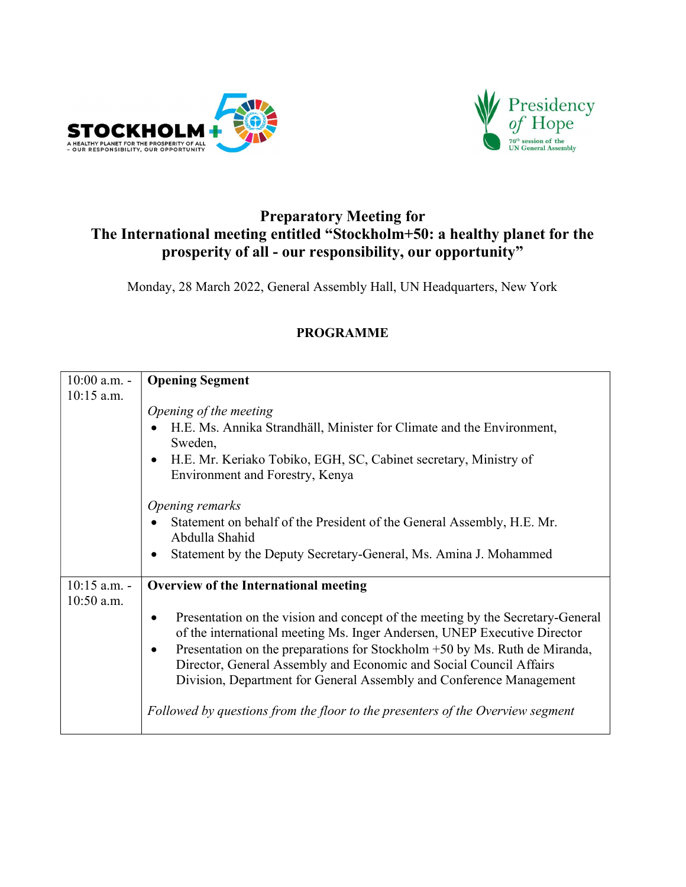



## Preparatory Meeting for The International meeting entitled "Stockholm+50: a healthy planet for the prosperity of all - our responsibility, our opportunity"

Monday, 28 March 2022, General Assembly Hall, UN Headquarters, New York

| $10:00$ a.m. - | <b>Opening Segment</b>                                                                                                                                                                                                                                                                                                                                                                             |
|----------------|----------------------------------------------------------------------------------------------------------------------------------------------------------------------------------------------------------------------------------------------------------------------------------------------------------------------------------------------------------------------------------------------------|
| $10:15$ a.m.   |                                                                                                                                                                                                                                                                                                                                                                                                    |
|                | Opening of the meeting<br>H.E. Ms. Annika Strandhäll, Minister for Climate and the Environment,<br>Sweden,                                                                                                                                                                                                                                                                                         |
|                | H.E. Mr. Keriako Tobiko, EGH, SC, Cabinet secretary, Ministry of<br>$\bullet$<br>Environment and Forestry, Kenya                                                                                                                                                                                                                                                                                   |
|                | Opening remarks                                                                                                                                                                                                                                                                                                                                                                                    |
|                | Statement on behalf of the President of the General Assembly, H.E. Mr.<br>Abdulla Shahid                                                                                                                                                                                                                                                                                                           |
|                | Statement by the Deputy Secretary-General, Ms. Amina J. Mohammed                                                                                                                                                                                                                                                                                                                                   |
| $10:15$ a.m. - | Overview of the International meeting                                                                                                                                                                                                                                                                                                                                                              |
| $10:50$ a.m.   |                                                                                                                                                                                                                                                                                                                                                                                                    |
|                | Presentation on the vision and concept of the meeting by the Secretary-General<br>of the international meeting Ms. Inger Andersen, UNEP Executive Director<br>Presentation on the preparations for Stockholm +50 by Ms. Ruth de Miranda,<br>$\bullet$<br>Director, General Assembly and Economic and Social Council Affairs<br>Division, Department for General Assembly and Conference Management |
|                | Followed by questions from the floor to the presenters of the Overview segment                                                                                                                                                                                                                                                                                                                     |

## PROGRAMME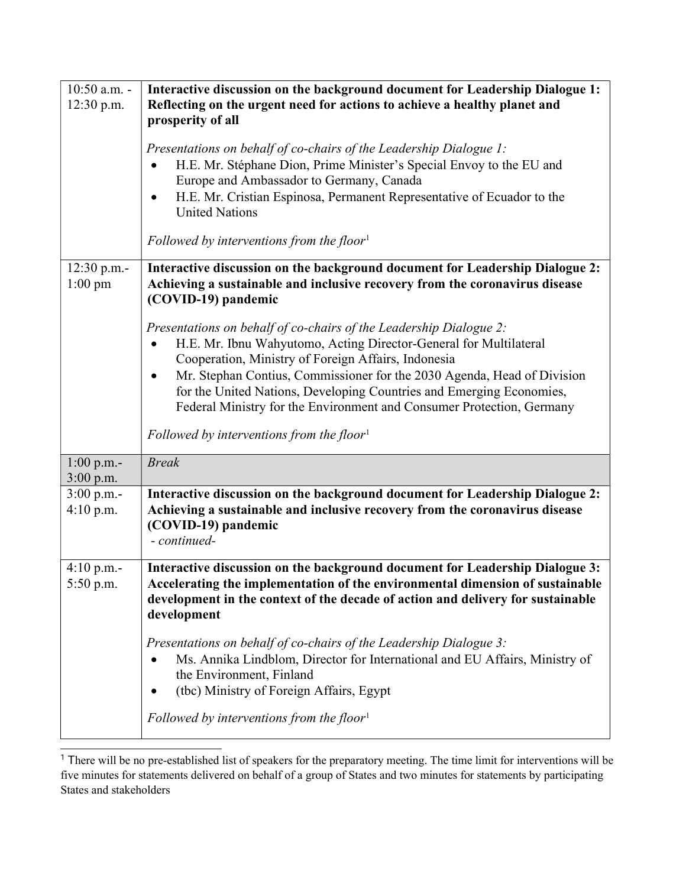| 10:50 a.m. -<br>12:30 p.m.  | Interactive discussion on the background document for Leadership Dialogue 1:<br>Reflecting on the urgent need for actions to achieve a healthy planet and<br>prosperity of all                                                                                                                                                                                                                                             |
|-----------------------------|----------------------------------------------------------------------------------------------------------------------------------------------------------------------------------------------------------------------------------------------------------------------------------------------------------------------------------------------------------------------------------------------------------------------------|
|                             | Presentations on behalf of co-chairs of the Leadership Dialogue 1:<br>H.E. Mr. Stéphane Dion, Prime Minister's Special Envoy to the EU and<br>Europe and Ambassador to Germany, Canada<br>H.E. Mr. Cristian Espinosa, Permanent Representative of Ecuador to the<br>$\bullet$<br><b>United Nations</b>                                                                                                                     |
|                             | Followed by interventions from the floor <sup>1</sup>                                                                                                                                                                                                                                                                                                                                                                      |
| $12:30$ p.m.-<br>$1:00$ pm  | Interactive discussion on the background document for Leadership Dialogue 2:<br>Achieving a sustainable and inclusive recovery from the coronavirus disease<br>(COVID-19) pandemic                                                                                                                                                                                                                                         |
|                             | Presentations on behalf of co-chairs of the Leadership Dialogue 2:<br>H.E. Mr. Ibnu Wahyutomo, Acting Director-General for Multilateral<br>Cooperation, Ministry of Foreign Affairs, Indonesia<br>Mr. Stephan Contius, Commissioner for the 2030 Agenda, Head of Division<br>for the United Nations, Developing Countries and Emerging Economies,<br>Federal Ministry for the Environment and Consumer Protection, Germany |
|                             | Followed by interventions from the floor <sup>1</sup>                                                                                                                                                                                                                                                                                                                                                                      |
| $1:00$ p.m.-<br>$3:00$ p.m. | <b>Break</b>                                                                                                                                                                                                                                                                                                                                                                                                               |
| 3:00 p.m.-<br>4:10 p.m.     | Interactive discussion on the background document for Leadership Dialogue 2:<br>Achieving a sustainable and inclusive recovery from the coronavirus disease<br>(COVID-19) pandemic<br>- continued-                                                                                                                                                                                                                         |
| $4:10$ p.m.-<br>$5:50$ p.m. | Interactive discussion on the background document for Leadership Dialogue 3:<br>Accelerating the implementation of the environmental dimension of sustainable<br>development in the context of the decade of action and delivery for sustainable<br>development                                                                                                                                                            |
|                             | Presentations on behalf of co-chairs of the Leadership Dialogue 3:<br>Ms. Annika Lindblom, Director for International and EU Affairs, Ministry of<br>$\bullet$<br>the Environment, Finland<br>(tbc) Ministry of Foreign Affairs, Egypt                                                                                                                                                                                     |
|                             | Followed by interventions from the floor <sup>1</sup>                                                                                                                                                                                                                                                                                                                                                                      |

<sup>&</sup>lt;sup>1</sup> There will be no pre-established list of speakers for the preparatory meeting. The time limit for interventions will be five minutes for statements delivered on behalf of a group of States and two minutes for statements by participating States and stakeholders